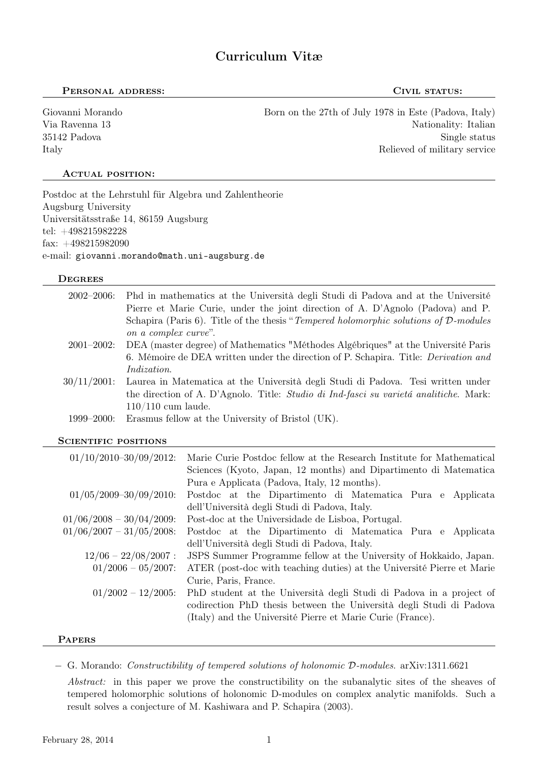# Curriculum Vitæ

### PERSONAL ADDRESS: CIVIL STATUS:

Giovanni Morando Born on the 27th of July 1978 in Este (Padova, Italy) Via Ravenna 13 Nationality: Italian 35142 Padova Single status Single status Single status Single status Single status Single status Single status Italy Relieved of military service

## ACTUAL POSITION:

Postdoc at the Lehrstuhl für Algebra und Zahlentheorie Augsburg University Universitätsstraße 14, 86159 Augsburg tel: +498215982228 fax: +498215982090 e-mail: giovanni.morando@math.uni-augsburg.de

### **DEGREES**

| $2002 - 2006$ : | Phd in mathematics at the Università degli Studi di Padova and at the Université           |
|-----------------|--------------------------------------------------------------------------------------------|
|                 | Pierre et Marie Curie, under the joint direction of A. D'Agnolo (Padova) and P.            |
|                 | Schapira (Paris 6). Title of the thesis "Tempered holomorphic solutions of $D$ -modules    |
|                 | on a complex curve".                                                                       |
| $2001 - 2002$ : | DEA (master degree) of Mathematics "Méthodes Algébriques" at the Université Paris          |
|                 | 6. Mémoire de DEA written under the direction of P. Schapira. Title: <i>Derivation and</i> |
|                 | <i>Indization.</i>                                                                         |
| $30/11/2001$ :  | Laurea in Matematica at the Università degli Studi di Padova. Tesi written under           |
|                 | the direction of A. D'Agnolo. Title: Studio di Ind-fasci su varietà analitiche. Mark:      |
|                 | $110/110$ cum laude.                                                                       |
| $1999 - 2000$ : | Erasmus fellow at the University of Bristol (UK).                                          |

### SCIENTIFIC POSITIONS

| $01/10/2010 - 30/09/2012$ : | Marie Curie Postdoc fellow at the Research Institute for Mathematical                                                                      |
|-----------------------------|--------------------------------------------------------------------------------------------------------------------------------------------|
|                             | Sciences (Kyoto, Japan, 12 months) and Dipartimento di Matematica                                                                          |
|                             | Pura e Applicata (Padova, Italy, 12 months).                                                                                               |
| $01/05/2009 - 30/09/2010$ : | Postdoc at the Dipartimento di Matematica Pura e Applicata                                                                                 |
|                             | dell'Università degli Studi di Padova, Italy.                                                                                              |
| $01/06/2008 - 30/04/2009$ : | Post-doc at the Universidade de Lisboa, Portugal.                                                                                          |
| $01/06/2007 - 31/05/2008$ : | Postdoc at the Dipartimento di Matematica Pura e Applicata                                                                                 |
|                             | dell'Università degli Studi di Padova, Italy.                                                                                              |
| $12/06 - 22/08/2007$ :      | JSPS Summer Programme fellow at the University of Hokkaido, Japan.                                                                         |
| $01/2006 - 05/2007$ :       | ATER (post-doc with teaching duties) at the Université Pierre et Marie                                                                     |
|                             | Curie, Paris, France.                                                                                                                      |
| $01/2002 - 12/2005$ :       | PhD student at the Università degli Studi di Padova in a project of<br>codirection PhD thesis between the Università degli Studi di Padova |
|                             | (Italy) and the Université Pierre et Marie Curie (France).                                                                                 |

# **PAPERS**

− G. Morando: Constructibility of tempered solutions of holonomic D-modules. arXiv:1311.6621

Abstract: in this paper we prove the constructibility on the subanalytic sites of the sheaves of tempered holomorphic solutions of holonomic D-modules on complex analytic manifolds. Such a result solves a conjecture of M. Kashiwara and P. Schapira (2003).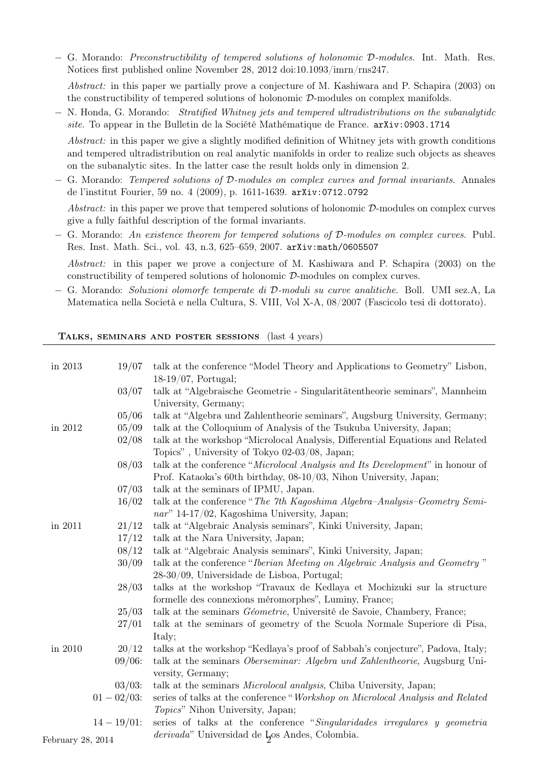− G. Morando: Preconstructibility of tempered solutions of holonomic D-modules. Int. Math. Res. Notices first published online November 28, 2012 doi:10.1093/imrn/rns247.

Abstract: in this paper we partially prove a conjecture of M. Kashiwara and P. Schapira (2003) on the constructibility of tempered solutions of holonomic D-modules on complex manifolds.

− N. Honda, G. Morando: Stratified Whitney jets and tempered ultradistributions on the subanalytidc site. To appear in the Bulletin de la Société Mathématique de France. arXiv:0903.1714

Abstract: in this paper we give a slightly modified definition of Whitney jets with growth conditions and tempered ultradistribution on real analytic manifolds in order to realize such objects as sheaves on the subanalytic sites. In the latter case the result holds only in dimension 2.

− G. Morando: Tempered solutions of D-modules on complex curves and formal invariants. Annales de l'institut Fourier, 59 no. 4 (2009), p. 1611-1639. arXiv:0712.0792

Abstract: in this paper we prove that tempered solutions of holonomic  $\mathcal{D}$ -modules on complex curves give a fully faithful description of the formal invariants.

− G. Morando: An existence theorem for tempered solutions of D-modules on complex curves. Publ. Res. Inst. Math. Sci., vol. 43, n.3, 625–659, 2007. arXiv:math/0605507

Abstract: in this paper we prove a conjecture of M. Kashiwara and P. Schapira (2003) on the constructibility of tempered solutions of holonomic D-modules on complex curves.

− G. Morando: Soluzioni olomorfe temperate di D-moduli su curve analitiche. Boll. UMI sez.A, La Matematica nella Società e nella Cultura, S. VIII, Vol X-A, 08/2007 (Fascicolo tesi di dottorato).

Talks, seminars and poster sessions (last 4 years)

| in 2013<br>19/07 | talk at the conference "Model Theory and Applications to Geometry" Lisbon,<br>$18-19/07$ , Portugal; |
|------------------|------------------------------------------------------------------------------------------------------|
| 03/07            | talk at "Algebraische Geometrie - Singularitätentheorie seminars", Mannheim                          |
|                  | University, Germany;                                                                                 |
| 05/06            | talk at "Algebra und Zahlentheorie seminars", Augsburg University, Germany;                          |
| 05/09<br>in 2012 | talk at the Colloquium of Analysis of the Tsukuba University, Japan;                                 |
| 02/08            | talk at the workshop "Microlocal Analysis, Differential Equations and Related                        |
|                  | Topics", University of Tokyo 02-03/08, Japan;                                                        |
| 08/03            | talk at the conference "Microlocal Analysis and Its Development" in honour of                        |
|                  | Prof. Kataoka's 60th birthday, 08-10/03, Nihon University, Japan;                                    |
| 07/03            | talk at the seminars of IPMU, Japan.                                                                 |
| 16/02            | talk at the conference "The 7th Kagoshima Algebra-Analysis-Geometry Semi-                            |
|                  | nar" 14-17/02, Kagoshima University, Japan;                                                          |
| 21/12<br>in 2011 | talk at "Algebraic Analysis seminars", Kinki University, Japan;                                      |
| 17/12            | talk at the Nara University, Japan;                                                                  |
| 08/12            | talk at "Algebraic Analysis seminars", Kinki University, Japan;                                      |
| 30/09            | talk at the conference "Iberian Meeting on Algebraic Analysis and Geometry"                          |
|                  | 28-30/09, Universidade de Lisboa, Portugal;                                                          |
| 28/03            | talks at the workshop "Travaux de Kedlaya et Mochizuki sur la structure                              |
|                  | formelle des connexions méromorphes", Luminy, France;                                                |
| 25/03            | talk at the seminars <i>Géometrie</i> , Université de Savoie, Chambery, France;                      |
| 27/01            | talk at the seminars of geometry of the Scuola Normale Superiore di Pisa,                            |
|                  | Italy;                                                                                               |
| 20/12<br>in 2010 | talks at the workshop "Kedlaya's proof of Sabbah's conjecture", Padova, Italy;                       |
| $09/06$ :        | talk at the seminars Oberseminar: Algebra und Zahlentheorie, Augsburg Uni-                           |
|                  | versity, Germany;                                                                                    |
| $03/03$ :        | talk at the seminars <i>Microlocal analysis</i> , Chiba University, Japan;                           |
| $01 - 02/03$ :   | series of talks at the conference "Workshop on Microlocal Analysis and Related"                      |
|                  | Topics" Nihon University, Japan;                                                                     |
|                  |                                                                                                      |
| $14 - 19/01$ :   | series of talks at the conference "Singularidades irregulares y geometria                            |

February 28, 2014  $\ldots$   $\ldots$   $\ldots$   $\ldots$   $\ldots$   $\ldots$   $\ldots$   $\ldots$